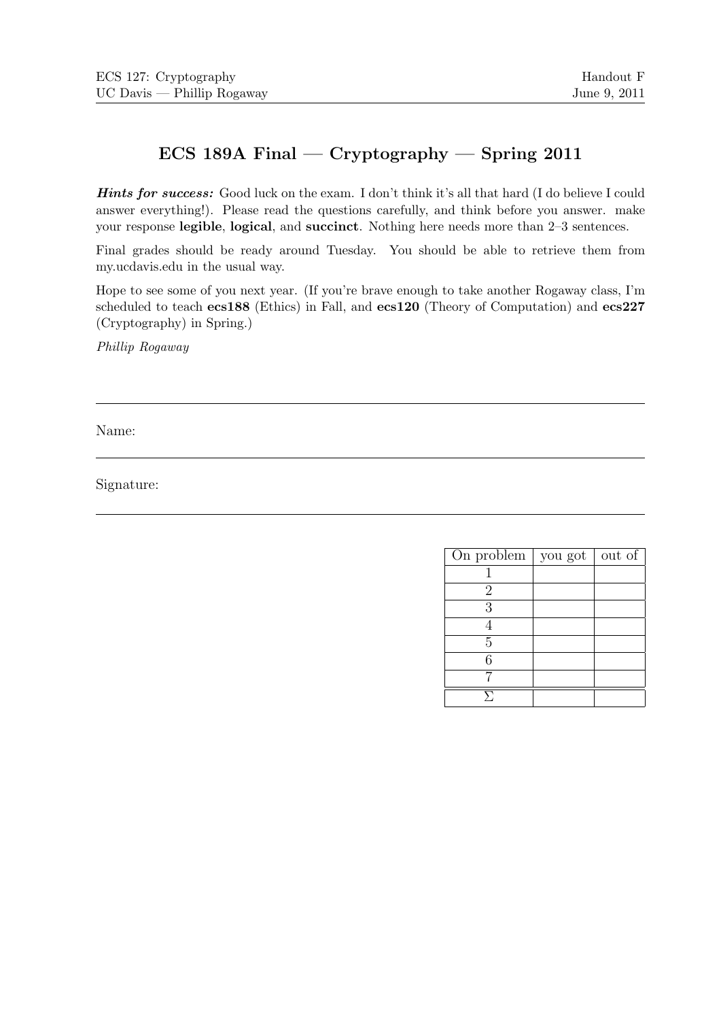# ECS 189A Final — Cryptography — Spring 2011

Hints for success: Good luck on the exam. I don't think it's all that hard (I do believe I could answer everything!). Please read the questions carefully, and think before you answer. make your response legible, logical, and succinct. Nothing here needs more than 2–3 sentences.

Final grades should be ready around Tuesday. You should be able to retrieve them from my.ucdavis.edu in the usual way.

Hope to see some of you next year. (If you're brave enough to take another Rogaway class, I'm scheduled to teach ecs188 (Ethics) in Fall, and ecs120 (Theory of Computation) and ecs227 (Cryptography) in Spring.)

Phillip Rogaway

Name:

Signature:

| On problem $ $ | you got | out of |
|----------------|---------|--------|
|                |         |        |
| 2              |         |        |
| 3              |         |        |
|                |         |        |
| 5              |         |        |
| հ              |         |        |
|                |         |        |
|                |         |        |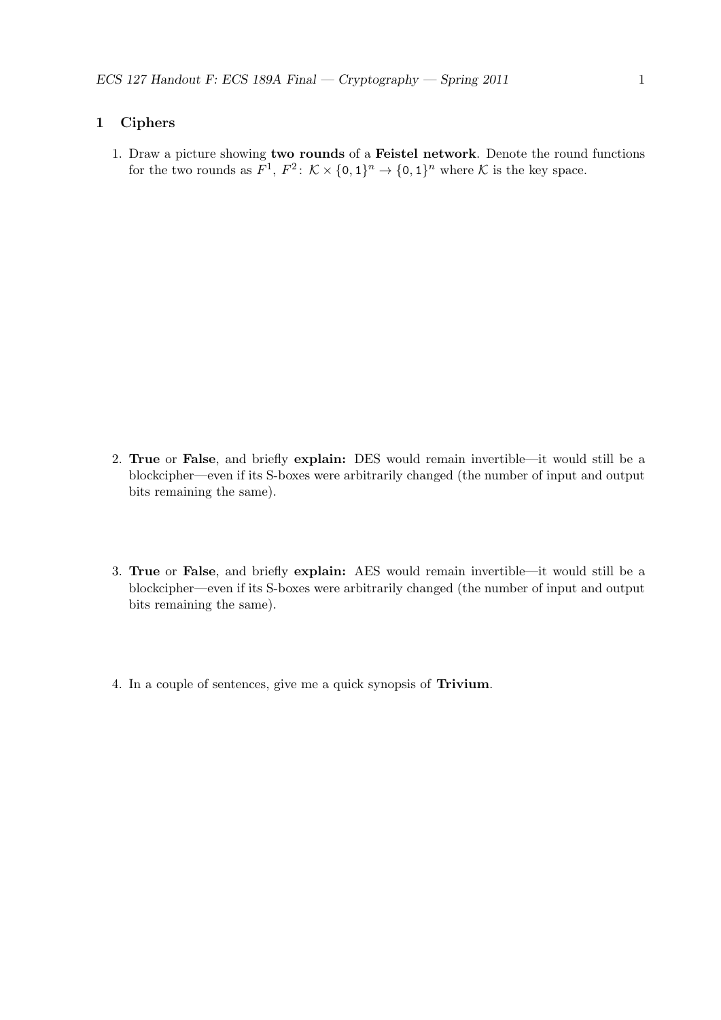# 1 Ciphers

1. Draw a picture showing two rounds of a Feistel network. Denote the round functions for the two rounds as  $F^1$ ,  $F^2$ :  $\mathcal{K} \times \{0,1\}^n \to \{0,1\}^n$  where  $\mathcal{K}$  is the key space.

- 2. True or False, and briefly explain: DES would remain invertible—it would still be a blockcipher—even if its S-boxes were arbitrarily changed (the number of input and output bits remaining the same).
- 3. True or False, and briefly explain: AES would remain invertible—it would still be a blockcipher—even if its S-boxes were arbitrarily changed (the number of input and output bits remaining the same).
- 4. In a couple of sentences, give me a quick synopsis of Trivium.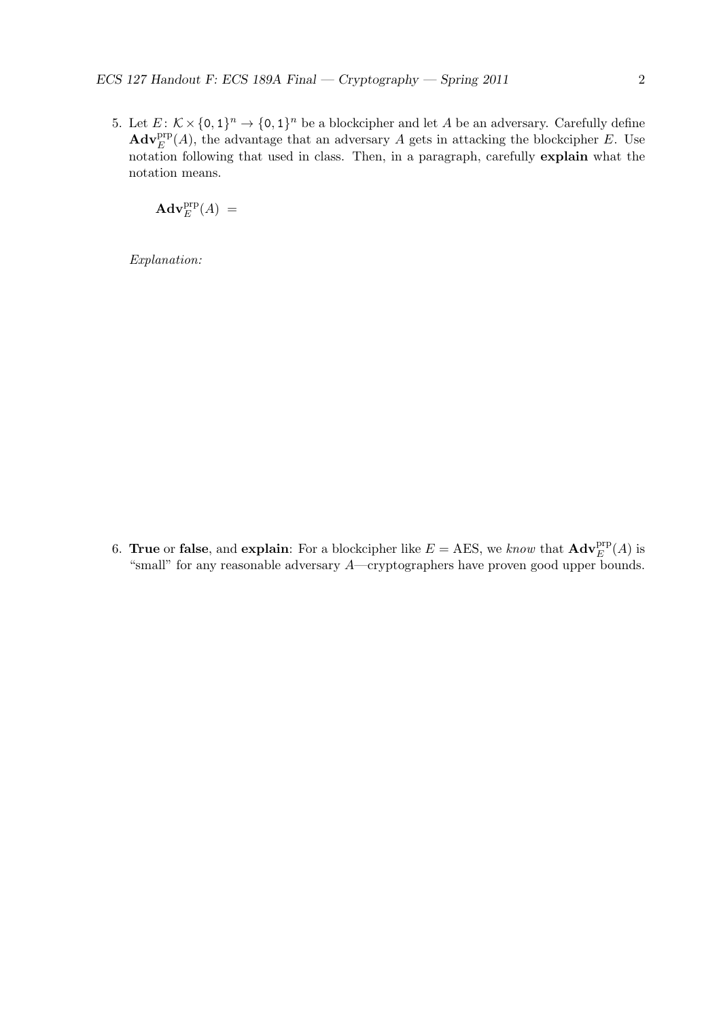5. Let  $E: K \times \{0,1\}^n \to \{0,1\}^n$  be a blockcipher and let A be an adversary. Carefully define  $\mathbf{Adv}_{E}^{\text{prp}}(A)$ , the advantage that an adversary A gets in attacking the blockcipher E. Use notation following that used in class. Then, in a paragraph, carefully explain what the notation means.

 $\mathbf{Adv}_{E}^{\mathrm{prp}}(A) =$ 

Explanation:

6. True or false, and explain: For a blockcipher like  $E = \text{AES}$ , we know that  $\text{Adv}_{E}^{\text{prp}}(A)$  is "small" for any reasonable adversary A—cryptographers have proven good upper bounds.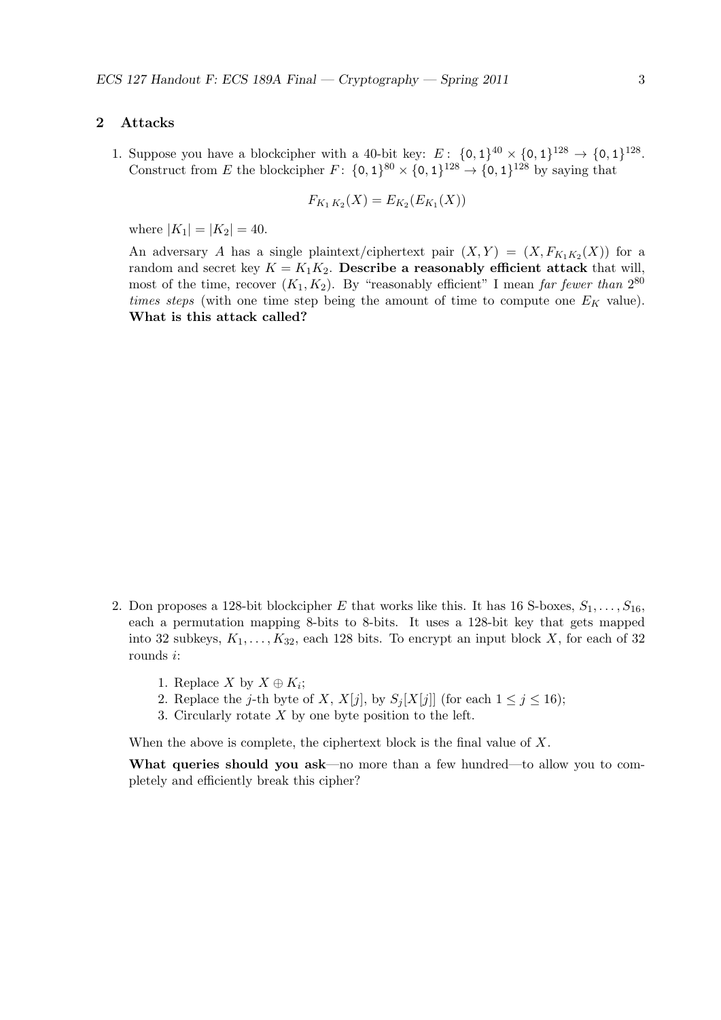#### 2 Attacks

1. Suppose you have a blockcipher with a 40-bit key:  $E: \{0,1\}^{40} \times \{0,1\}^{128} \rightarrow \{0,1\}^{128}.$ Construct from E the blockcipher  $F: \{0,1\}^{80} \times \{0,1\}^{128} \rightarrow \{0,1\}^{128}$  by saying that

$$
F_{K_1 K_2}(X) = E_{K_2}(E_{K_1}(X))
$$

where  $|K_1| = |K_2| = 40$ .

An adversary A has a single plaintext/ciphertext pair  $(X,Y) = (X, F_{K_1K_2}(X))$  for a random and secret key  $K = K_1K_2$ . Describe a reasonably efficient attack that will, most of the time, recover  $(K_1, K_2)$ . By "reasonably efficient" I mean far fewer than  $2^{80}$ times steps (with one time step being the amount of time to compute one  $E_K$  value). What is this attack called?

- 2. Don proposes a 128-bit blockcipher E that works like this. It has 16 S-boxes,  $S_1, \ldots, S_{16}$ , each a permutation mapping 8-bits to 8-bits. It uses a 128-bit key that gets mapped into 32 subkeys,  $K_1, \ldots, K_{32}$ , each 128 bits. To encrypt an input block X, for each of 32 rounds i:
	- 1. Replace X by  $X \oplus K_i$ ;
	- 2. Replace the *j*-th byte of X,  $X[j]$ , by  $S_j[X[j]]$  (for each  $1 \leq j \leq 16$ );
	- 3. Circularly rotate  $X$  by one byte position to the left.

When the above is complete, the ciphertext block is the final value of X.

What queries should you ask—no more than a few hundred—to allow you to completely and efficiently break this cipher?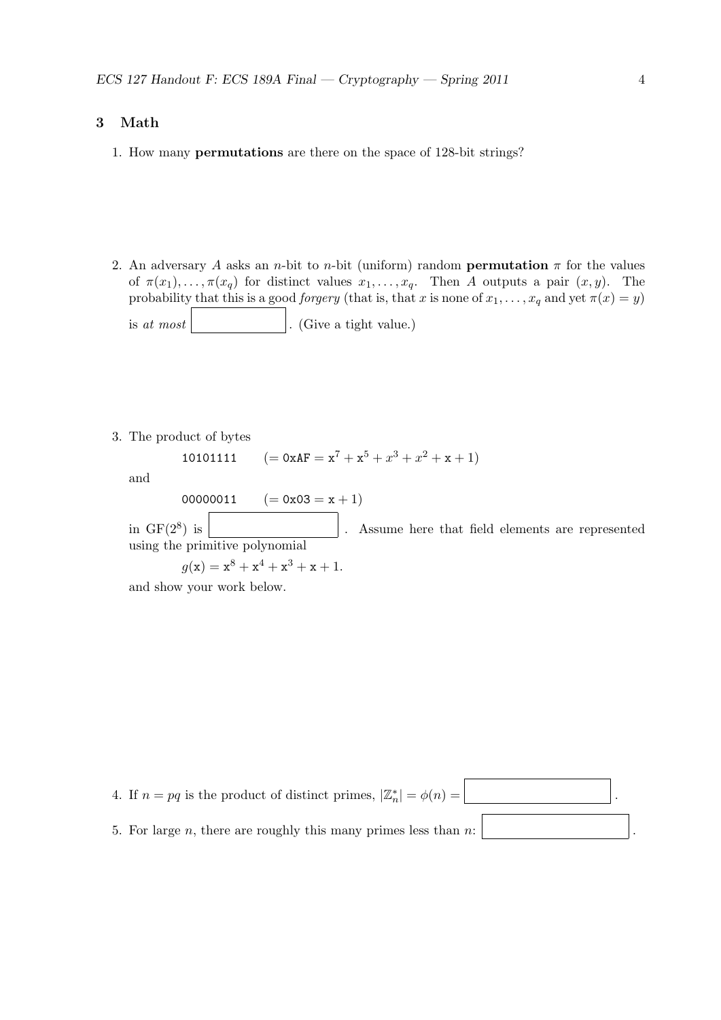### 3 Math

- 1. How many permutations are there on the space of 128-bit strings?
- 2. An adversary A asks an n-bit to n-bit (uniform) random **permutation**  $\pi$  for the values of  $\pi(x_1), \ldots, \pi(x_q)$  for distinct values  $x_1, \ldots, x_q$ . Then A outputs a pair  $(x, y)$ . The probability that this is a good *forgery* (that is, that x is none of  $x_1, \ldots, x_q$  and yet  $\pi(x) = y$ ) is at most  $\vert$ . (Give a tight value.)
- 3. The product of bytes

10101111  $(= 0 \times AF = x^7 + x^5 + x^3 + x^2 + x + 1)$ 

and

 $00000011$   $(= 0x03 = x + 1)$ 

in  $GF(2^8)$  is Assume here that field elements are represented using the primitive polynomial

 $g(x) = x^8 + x^4 + x^3 + x + 1.$ 

and show your work below.

4. If  $n = pq$  is the product of distinct primes,  $|\mathbb{Z}_n^*| = \phi(n) =$  . 5. For large  $n$ , there are roughly this many primes less than  $n$ :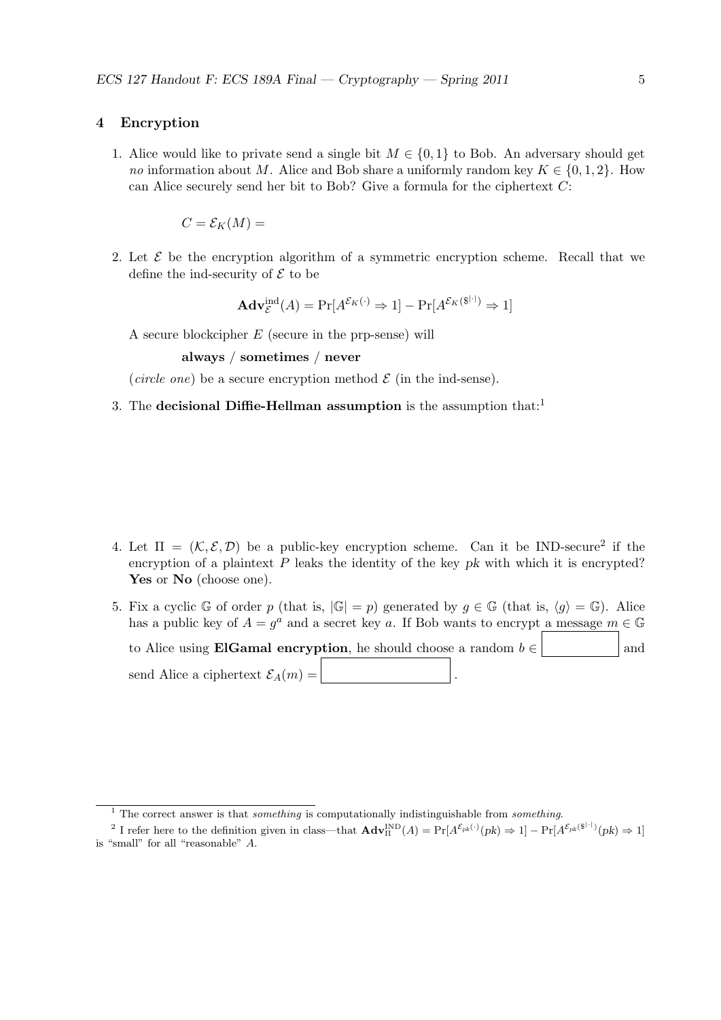#### 4 Encryption

1. Alice would like to private send a single bit  $M \in \{0,1\}$  to Bob. An adversary should get no information about M. Alice and Bob share a uniformly random key  $K \in \{0, 1, 2\}$ . How can Alice securely send her bit to Bob? Give a formula for the ciphertext C:

$$
C = \mathcal{E}_K(M) =
$$

2. Let  $\mathcal E$  be the encryption algorithm of a symmetric encryption scheme. Recall that we define the ind-security of  $\mathcal E$  to be

$$
\mathbf{Adv}_{\mathcal{E}}^{\mathrm{ind}}(A) = \Pr[A^{\mathcal{E}_K(\cdot)} \Rightarrow 1] - \Pr[A^{\mathcal{E}_K(\$^{|\cdot|})} \Rightarrow 1]
$$

A secure blockcipher E (secure in the prp-sense) will

always / sometimes / never

(circle one) be a secure encryption method  $\mathcal E$  (in the ind-sense).

3. The decisional Diffie-Hellman assumption is the assumption that:<sup>1</sup>

- 4. Let  $\Pi = (\mathcal{K}, \mathcal{E}, \mathcal{D})$  be a public-key encryption scheme. Can it be IND-secure<sup>2</sup> if the encryption of a plaintext  $P$  leaks the identity of the key  $pk$  with which it is encrypted? Yes or No (choose one).
- 5. Fix a cyclic G of order p (that is,  $|\mathbb{G}| = p$ ) generated by  $g \in \mathbb{G}$  (that is,  $\langle g \rangle = \mathbb{G}$ ). Alice has a public key of  $A = g^a$  and a secret key a. If Bob wants to encrypt a message  $m \in \mathbb{G}$ to Alice using **ElGamal encryption**, he should choose a random  $b \in \mathbb{R}$  and send Alice a ciphertext  $\mathcal{E}_A(m) =$

 $\overline{1}$  The correct answer is that *something* is computationally indistinguishable from *something*.

<sup>&</sup>lt;sup>2</sup> I refer here to the definition given in class—that  $\mathbf{Adv}_{\Pi}^{\text{IND}}(A) = \Pr[A^{\mathcal{E}_{pk}(\cdot)}(pk) \Rightarrow 1] - \Pr[A^{\mathcal{E}_{pk}(\$^{|\cdot|})}(pk) \Rightarrow 1]$ is "small" for all "reasonable" A.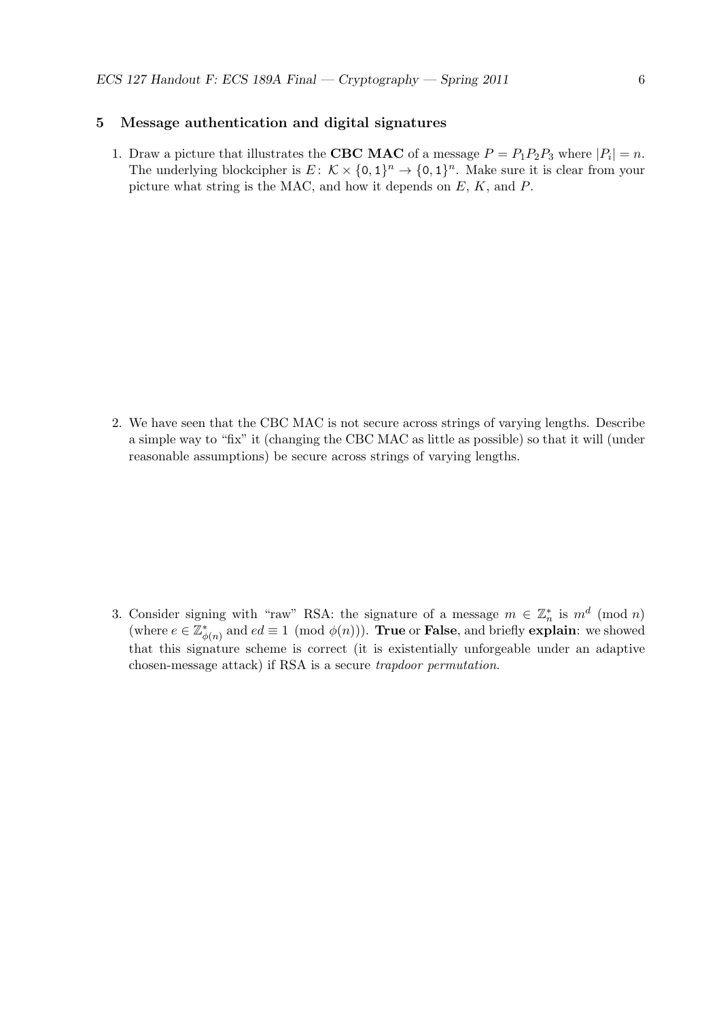# 5 Message authentication and digital signatures

1. Draw a picture that illustrates the **CBC** MAC of a message  $P = P_1 P_2 P_3$  where  $|P_i| = n$ . The underlying blockcipher is  $E: \mathcal{K} \times \{0,1\}^n \to \{0,1\}^n$ . Make sure it is clear from your picture what string is the MAC, and how it depends on  $E, K$ , and  $P$ .

2. We have seen that the CBC MAC is not secure across strings of varying lengths. Describe a simple way to "fix" it (changing the CBC MAC as little as possible) so that it will (under reasonable assumptions) be secure across strings of varying lengths.

3. Consider signing with "raw" RSA: the signature of a message  $m \in \mathbb{Z}_n^*$  is  $m^d \pmod{n}$ (where  $e \in \mathbb{Z}_{\phi(n)}^*$  and  $ed \equiv 1 \pmod{\phi(n)}$ ). **True** or **False**, and briefly **explain**: we showed that this signature scheme is correct (it is existentially unforgeable under an adaptive chosen-message attack) if RSA is a secure trapdoor permutation.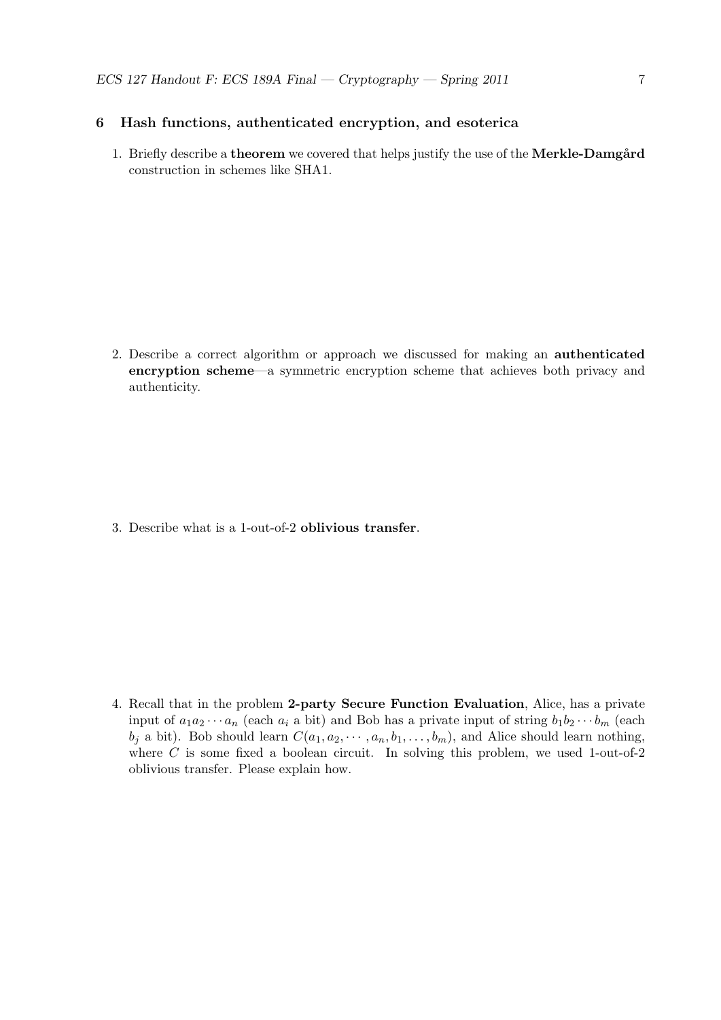# 6 Hash functions, authenticated encryption, and esoterica

1. Briefly describe a **theorem** we covered that helps justify the use of the **Merkle-Damgård** construction in schemes like SHA1.

2. Describe a correct algorithm or approach we discussed for making an authenticated encryption scheme—a symmetric encryption scheme that achieves both privacy and authenticity.

3. Describe what is a 1-out-of-2 oblivious transfer.

4. Recall that in the problem 2-party Secure Function Evaluation, Alice, has a private input of  $a_1a_2\cdots a_n$  (each  $a_i$  a bit) and Bob has a private input of string  $b_1b_2\cdots b_m$  (each  $b_i$  a bit). Bob should learn  $C(a_1, a_2, \dots, a_n, b_1, \dots, b_m)$ , and Alice should learn nothing, where  $C$  is some fixed a boolean circuit. In solving this problem, we used 1-out-of-2 oblivious transfer. Please explain how.